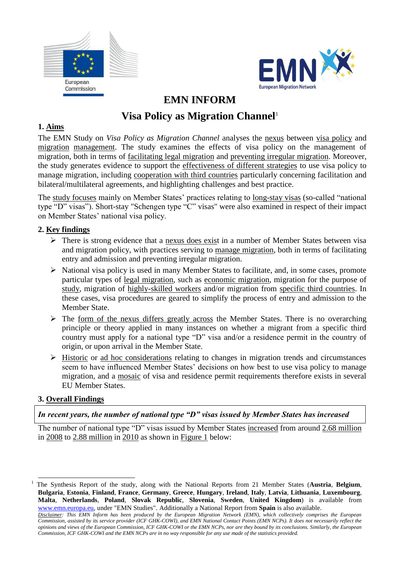



## **EMN INFORM**

# **Visa Policy as Migration Channel<sup>1</sup>**

## **1. Aims**

The EMN Study on *Visa Policy as Migration Channel* analyses the nexus between visa policy and migration management. The study examines the effects of visa policy on the management of migration, both in terms of facilitating legal migration and preventing irregular migration. Moreover, the study generates evidence to support the effectiveness of different strategies to use visa policy to manage migration, including cooperation with third countries particularly concerning facilitation and bilateral/multilateral agreements, and highlighting challenges and best practice.

The study focuses mainly on Member States' practices relating to long-stay visas (so-called "national type "D" visas"). Short-stay "Schengen type "C" visas" were also examined in respect of their impact on Member States' national visa policy.

## **2. Key findings**

- $\triangleright$  There is strong evidence that a nexus does exist in a number of Member States between visa and migration policy, with practices serving to manage migration, both in terms of facilitating entry and admission and preventing irregular migration.
- $\triangleright$  National visa policy is used in many Member States to facilitate, and, in some cases, promote particular types of legal migration, such as economic migration, migration for the purpose of study, migration of highly-skilled workers and/or migration from specific third countries. In these cases, visa procedures are geared to simplify the process of entry and admission to the Member State.
- $\triangleright$  The form of the nexus differs greatly across the Member States. There is no overarching principle or theory applied in many instances on whether a migrant from a specific third country must apply for a national type "D" visa and/or a residence permit in the country of origin, or upon arrival in the Member State.
- $\triangleright$  Historic or ad hoc considerations relating to changes in migration trends and circumstances seem to have influenced Member States' decisions on how best to use visa policy to manage migration, and a mosaic of visa and residence permit requirements therefore exists in several EU Member States.

#### **3. Overall Findings**

1

## *In recent years, the number of national type "D" visas issued by Member States has increased*

The number of national type "D" visas issued by Member States increased from around 2.68 million in 2008 to 2.88 million in 2010 as shown in Figure 1 below:

<sup>1</sup> The Synthesis Report of the study, along with the National Reports from 21 Member States (**Austria**, **Belgium**, **Bulgaria**, **Estonia**, **Finland**, **France**, **Germany**, **Greece**, **Hungary**, **Ireland**, **Italy**, **Latvia**, **Lithuania**, **Luxembourg**, **Malta**, **Netherlands**, **Poland**, **Slovak Republic**, **Slovenia**, **Sweden**, **United Kingdom**) is available from [www.emn.europa.eu,](http://www.emn.europa.eu/) under "EMN Studies". Additionally a National Report from **Spain** is also available.

*Disclaimer: This EMN Inform has been produced by the European Migration Network (EMN), which collectively comprises the European Commission, assisted by its service provider (ICF GHK-COWI), and EMN National Contact Points (EMN NCPs). It does not necessarily reflect the opinions and views of the European Commission, ICF GHK-COWI or the EMN NCPs, nor are they bound by its conclusions. Similarly, the European Commission, ICF GHK-COWI and the EMN NCPs are in no way responsible for any use made of the statistics provided.*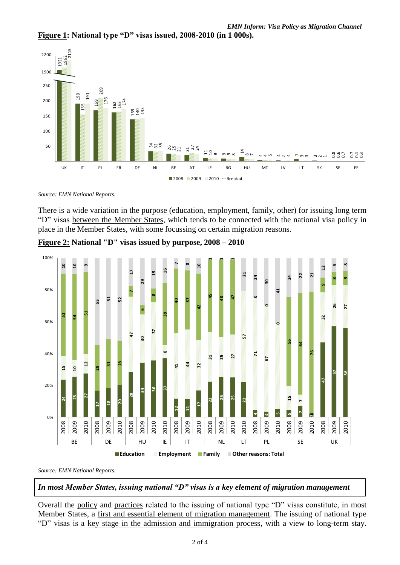



*Source: EMN National Reports.*

There is a wide variation in the purpose (education, employment, family, other) for issuing long term "D" visas between the Member States, which tends to be connected with the national visa policy in place in the Member States, with some focussing on certain migration reasons.



**Figure 2: National "D" visas issued by purpose, 2008 – 2010** 

*Source: EMN National Reports.*

*In most Member States, issuing national "D" visas is a key element of migration management*

Overall the policy and practices related to the issuing of national type "D" visas constitute, in most Member States, a first and essential element of migration management. The issuing of national type "D" visas is a key stage in the admission and immigration process, with a view to long-term stay.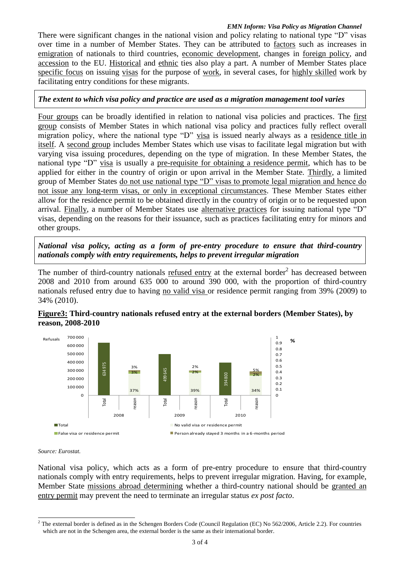#### *EMN Inform: Visa Policy as Migration Channel*

There were significant changes in the national vision and policy relating to national type "D" visas over time in a number of Member States. They can be attributed to factors such as increases in emigration of nationals to third countries, economic development, changes in foreign policy, and accession to the EU. Historical and ethnic ties also play a part. A number of Member States place specific focus on issuing visas for the purpose of work, in several cases, for highly skilled work by facilitating entry conditions for these migrants.

#### *The extent to which visa policy and practice are used as a migration management tool varies*

Four groups can be broadly identified in relation to national visa policies and practices. The first group consists of Member States in which national visa policy and practices fully reflect overall migration policy, where the national type "D" visa is issued nearly always as a residence title in itself. A second group includes Member States which use visas to facilitate legal migration but with varying visa issuing procedures, depending on the type of migration. In these Member States, the national type "D" visa is usually a pre-requisite for obtaining a residence permit, which has to be applied for either in the country of origin or upon arrival in the Member State. Thirdly, a limited group of Member States do not use national type "D" visas to promote legal migration and hence do not issue any long-term visas, or only in exceptional circumstances. These Member States either allow for the residence permit to be obtained directly in the country of origin or to be requested upon arrival. Finally, a number of Member States use alternative practices for issuing national type "D" visas, depending on the reasons for their issuance, such as practices facilitating entry for minors and other groups.

*National visa policy, acting as a form of pre-entry procedure to ensure that third-country nationals comply with entry requirements, helps to prevent irregular migration*

The number of third-country nationals refused entry at the external border<sup>2</sup> has decreased between 2008 and 2010 from around 635 000 to around 390 000, with the proportion of third-country nationals refused entry due to having no valid visa or residence permit ranging from 39% (2009) to 34% (2010).





*Source: Eurostat.*

National visa policy, which acts as a form of pre-entry procedure to ensure that third-country nationals comply with entry requirements, helps to prevent irregular migration. Having, for example, Member State missions abroad determining whether a third-country national should be granted an entry permit may prevent the need to terminate an irregular status *ex post facto*.

<sup>-</sup><sup>2</sup> The external border is defined as in the Schengen Borders Code (Council Regulation (EC) No 562/2006, Article 2.2). For countries which are not in the Schengen area, the external border is the same as their international border.